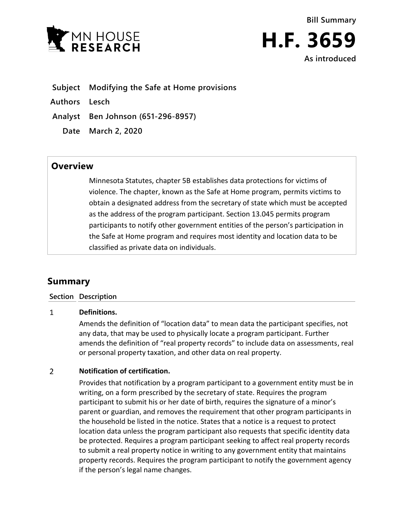

- **Subject Modifying the Safe at Home provisions**
- **Authors Lesch**

**Analyst Ben Johnson (651-296-8957)**

**Date March 2, 2020**

## **Overview**

Minnesota Statutes, chapter 5B establishes data protections for victims of violence. The chapter, known as the Safe at Home program, permits victims to obtain a designated address from the secretary of state which must be accepted as the address of the program participant. Section 13.045 permits program participants to notify other government entities of the person's participation in the Safe at Home program and requires most identity and location data to be classified as private data on individuals.

# **Summary**

### **Section Description**

#### $\mathbf{1}$ **Definitions.**

Amends the definition of "location data" to mean data the participant specifies, not any data, that may be used to physically locate a program participant. Further amends the definition of "real property records" to include data on assessments, real or personal property taxation, and other data on real property.

#### $\overline{2}$ **Notification of certification.**

Provides that notification by a program participant to a government entity must be in writing, on a form prescribed by the secretary of state. Requires the program participant to submit his or her date of birth, requires the signature of a minor's parent or guardian, and removes the requirement that other program participants in the household be listed in the notice. States that a notice is a request to protect location data unless the program participant also requests that specific identity data be protected. Requires a program participant seeking to affect real property records to submit a real property notice in writing to any government entity that maintains property records. Requires the program participant to notify the government agency if the person's legal name changes.